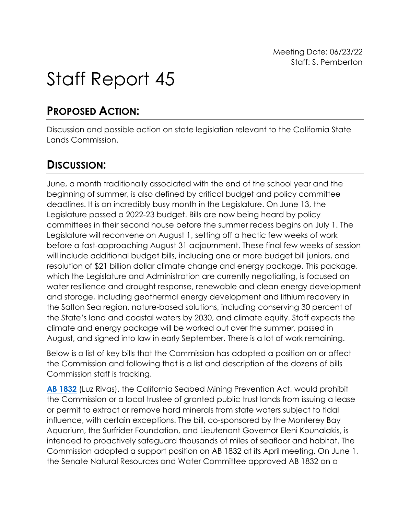# Staff Report 45

# **PROPOSED ACTION:**

Discussion and possible action on state legislation relevant to the California State Lands Commission.

# **DISCUSSION:**

June, a month traditionally associated with the end of the school year and the beginning of summer, is also defined by critical budget and policy committee deadlines. It is an incredibly busy month in the Legislature. On June 13, the Legislature passed a 2022-23 budget. Bills are now being heard by policy committees in their second house before the summer recess begins on July 1. The Legislature will reconvene on August 1, setting off a hectic few weeks of work before a fast-approaching August 31 adjournment. These final few weeks of session will include additional budget bills, including one or more budget bill juniors, and resolution of \$21 billion dollar climate change and energy package. This package, which the Legislature and Administration are currently negotiating, is focused on water resilience and drought response, renewable and clean energy development and storage, including geothermal energy development and lithium recovery in the Salton Sea region, nature-based solutions, including conserving 30 percent of the State's land and coastal waters by 2030, and climate equity. Staff expects the climate and energy package will be worked out over the summer, passed in August, and signed into law in early September. There is a lot of work remaining.

Below is a list of key bills that the Commission has adopted a position on or affect the Commission and following that is a list and description of the dozens of bills Commission staff is tracking.

**[AB 1832](https://leginfo.legislature.ca.gov/faces/billNavClient.xhtml?bill_id=202120220AB1832)** (Luz Rivas), the California Seabed Mining Prevention Act, would prohibit the Commission or a local trustee of granted public trust lands from issuing a lease or permit to extract or remove hard minerals from state waters subject to tidal influence, with certain exceptions. The bill, co-sponsored by the Monterey Bay Aquarium, the Surfrider Foundation, and Lieutenant Governor Eleni Kounalakis, is intended to proactively safeguard thousands of miles of seafloor and habitat. The Commission adopted a support position on AB 1832 at its April meeting. On June 1, the Senate Natural Resources and Water Committee approved AB 1832 on a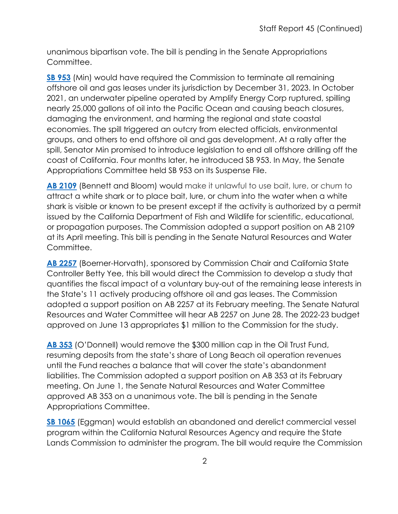unanimous bipartisan vote. The bill is pending in the Senate Appropriations Committee.

**[SB 953](https://leginfo.legislature.ca.gov/faces/billNavClient.xhtml?bill_id=202120220AB2257)** (Min) would have required the Commission to terminate all remaining offshore oil and gas leases under its jurisdiction by December 31, 2023. In October 2021, an underwater pipeline operated by Amplify Energy Corp ruptured, spilling nearly 25,000 gallons of oil into the Pacific Ocean and causing beach closures, damaging the environment, and harming the regional and state coastal economies. The spill triggered an outcry from elected officials, environmental groups, and others to end offshore oil and gas development. At a rally after the spill, Senator Min promised to introduce legislation to end all offshore drilling off the coast of California. Four months later, he introduced SB 953. In May, the Senate Appropriations Committee held SB 953 on its Suspense File.

**[AB 2109](https://leginfo.legislature.ca.gov/faces/billNavClient.xhtml?bill_id=202120220AB2109)** (Bennett and Bloom) would make it unlawful to use bait, lure, or chum to attract a white shark or to place bait, lure, or chum into the water when a white shark is visible or known to be present except if the activity is authorized by a permit issued by the California Department of Fish and Wildlife for scientific, educational, or propagation purposes. The Commission adopted a support position on AB 2109 at its April meeting. This bill is pending in the Senate Natural Resources and Water Committee.

**[AB 2257](https://leginfo.legislature.ca.gov/faces/billNavClient.xhtml?bill_id=202120220AB2257)** (Boerner-Horvath), sponsored by Commission Chair and California State Controller Betty Yee, this bill would direct the Commission to develop a study that quantifies the fiscal impact of a voluntary buy-out of the remaining lease interests in the State's 11 actively producing offshore oil and gas leases. The Commission adopted a support position on AB 2257 at its February meeting. The Senate Natural Resources and Water Committee will hear AB 2257 on June 28. The 2022-23 budget approved on June 13 appropriates \$1 million to the Commission for the study.

**[AB 353](https://slcprdwordpressstorage.blob.core.windows.net/wordpressdata/2022/02/02-25-22_53.pdf)** (O'Donnell) would remove the \$300 million cap in the Oil Trust Fund, resuming deposits from the state's share of Long Beach oil operation revenues until the Fund reaches a balance that will cover the state's abandonment liabilities. The Commission adopted a support position on AB 353 at its February meeting. On June 1, the Senate Natural Resources and Water Committee approved AB 353 on a unanimous vote. The bill is pending in the Senate Appropriations Committee.

**[SB 1065](https://leginfo.legislature.ca.gov/faces/billNavClient.xhtml?bill_id=202120220SB1065)** (Eggman) would establish an abandoned and derelict commercial vessel program within the California Natural Resources Agency and require the State Lands Commission to administer the program. The bill would require the Commission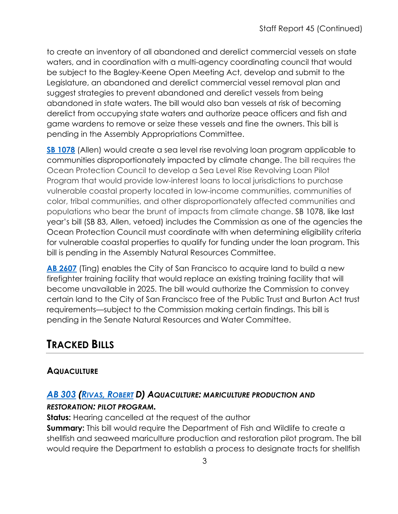to create an inventory of all abandoned and derelict commercial vessels on state waters, and in coordination with a multi-agency coordinating council that would be subject to the Bagley-Keene Open Meeting Act, develop and submit to the Legislature, an abandoned and derelict commercial vessel removal plan and suggest strategies to prevent abandoned and derelict vessels from being abandoned in state waters. The bill would also ban vessels at risk of becoming derelict from occupying state waters and authorize peace officers and fish and game wardens to remove or seize these vessels and fine the owners. This bill is pending in the Assembly Appropriations Committee.

**[SB 1078](https://leginfo.legislature.ca.gov/faces/billNavClient.xhtml?bill_id=202120220SB1078)** (Allen) would create a sea level rise revolving loan program applicable to communities disproportionately impacted by climate change. The bill requires the Ocean Protection Council to develop a Sea Level Rise Revolving Loan Pilot Program that would provide low-interest loans to local jurisdictions to purchase vulnerable coastal property located in low-income communities, communities of color, tribal communities, and other disproportionately affected communities and populations who bear the brunt of impacts from climate change. SB 1078, like last year's bill (SB 83, Allen, vetoed) includes the Commission as one of the agencies the Ocean Protection Council must coordinate with when determining eligibility criteria for vulnerable coastal properties to qualify for funding under the loan program. This bill is pending in the Assembly Natural Resources Committee.

**[AB 2607](https://leginfo.legislature.ca.gov/faces/billNavClient.xhtml?bill_id=202120220AB2607)** (Ting) enables the City of San Francisco to acquire land to build a new firefighter training facility that would replace an existing training facility that will become unavailable in 2025. The bill would authorize the Commission to convey certain land to the City of San Francisco free of the Public Trust and Burton Act trust requirements—subject to the Commission making certain findings. This bill is pending in the Senate Natural Resources and Water Committee.

# **TRACKED BILLS**

# **AQUACULTURE**

# *AB [303](https://ctweb.capitoltrack.com/public/publishbillinfo.aspx?bi=9K9tpeaEBpO12wllqqe2bwGVUcu8jIfGePv4d907WxcQ7CtkcuZ5PSlyu7FXAHyU) (RIVAS, [ROBERT](https://a30.asmdc.org/) D) AQUACULTURE: MARICULTURE PRODUCTION AND*

#### *RESTORATION: PILOT PROGRAM.*

**Status:** Hearing cancelled at the request of the author **Summary:** This bill would require the Department of Fish and Wildlife to create a shellfish and seaweed mariculture production and restoration pilot program. The bill would require the Department to establish a process to designate tracts for shellfish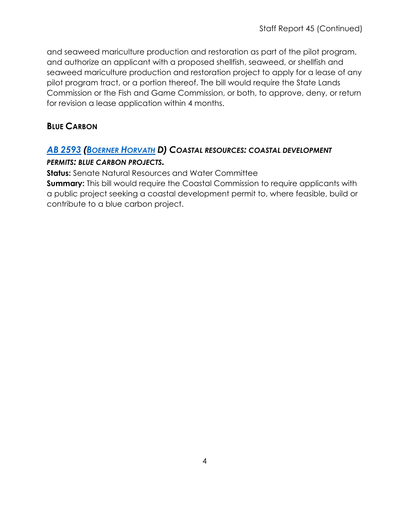and seaweed mariculture production and restoration as part of the pilot program. and authorize an applicant with a proposed shellfish, seaweed, or shellfish and seaweed mariculture production and restoration project to apply for a lease of any pilot program tract, or a portion thereof. The bill would require the State Lands Commission or the Fish and Game Commission, or both, to approve, deny, or return for revision a lease application within 4 months.

#### **BLUE CARBON**

# *AB [2593](https://ctweb.capitoltrack.com/public/publishbillinfo.aspx?bi=EQKnISm2BD7PlgxLfKzAGeqk7cF83GHdTh7KBCcvbchioQ1sgdtIynNp%2FypEoChb) [\(BOERNER HORVATH](https://a76.asmdc.org/) D) COASTAL RESOURCES: COASTAL DEVELOPMENT*

#### *PERMITS: BLUE CARBON PROJECTS.*

**Status:** Senate Natural Resources and Water Committee

**Summary:** This bill would require the Coastal Commission to require applicants with a public project seeking a coastal development permit to, where feasible, build or contribute to a blue carbon project.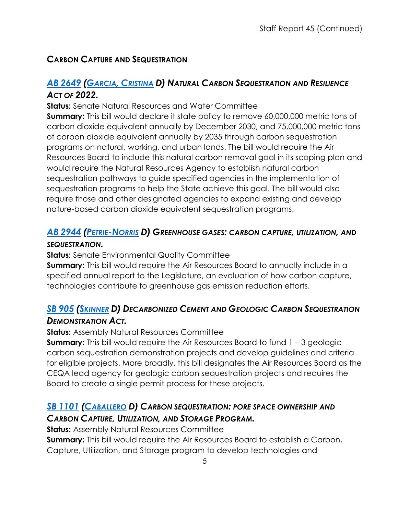# **CARBON CAPTURE AND SEQUESTRATION**

## *AB [2649](https://ctweb.capitoltrack.com/public/publishbillinfo.aspx?bi=diEuKu%2BJTAtjv%2FOErROKs6qpezS9WY%2FMeEnwt3%2FNgZlsYuQjqNM99j3H1fD3ytaG) [\(GARCIA,](https://a58.asmdc.org/) CRISTINA D) NATURAL CARBON SEQUESTRATION AND RESILIENCE ACT OF 2022.*

**Status:** Senate Natural Resources and Water Committee

**Summary:** This bill would declare it state policy to remove 60,000,000 metric tons of carbon dioxide equivalent annually by December 2030, and 75,000,000 metric tons of carbon dioxide equivalent annually by 2035 through carbon sequestration programs on natural, working, and urban lands. The bill would require the Air Resources Board to include this natural carbon removal goal in its scoping plan and would require the Natural Resources Agency to establish natural carbon sequestration pathways to guide specified agencies in the implementation of sequestration programs to help the State achieve this goal. The bill would also require those and other designated agencies to expand existing and develop nature-based carbon dioxide equivalent sequestration programs.

# *AB [2944](https://ctweb.capitoltrack.com/public/publishbillinfo.aspx?bi=GU3TK5jnazeaN%2FGr2ghU%2BPPK3K%2FUKLxSlgkU1itXeASyBRzoh%2Fusjau%2FdYW1hw8p) [\(PETRIE-NORRIS](https://a74.asmdc.org/) D) GREENHOUSE GASES: CARBON CAPTURE, UTILIZATION, AND*

#### *SEQUESTRATION.*

**Status:** Senate Environmental Quality Committee

**Summary:** This bill would require the Air Resources Board to annually include in a specified annual report to the Legislature, an evaluation of how carbon capture, technologies contribute to greenhouse gas emission reduction efforts.

# *SB [905](https://ctweb.capitoltrack.com/public/publishbillinfo.aspx?bi=7h%2FRdwSdiIIuDObBDZcomCOODfyDDLMeJYrtpCvFeB0%2BpB%2FUGNPw8dGygzsmeNg7) [\(SKINNER](http://sd09.senate.ca.gov/) D) DECARBONIZED CEMENT AND GEOLOGIC CARBON SEQUESTRATION DEMONSTRATION ACT.*

**Status:** Assembly Natural Resources Committee

**Summary:** This bill would require the Air Resources Board to fund 1 – 3 geologic carbon sequestration demonstration projects and develop guidelines and criteria for eligible projects. More broadly, this bill designates the Air Resources Board as the CEQA lead agency for geologic carbon sequestration projects and requires the Board to create a single permit process for these projects.

## *SB [1101](https://ctweb.capitoltrack.com/public/publishbillinfo.aspx?bi=A8qSIOoVRQc12C29iyGE5ftxkR7fdTGHn%2F%2BH1wG7lqpzb0qkJbCkMVJH3umOwx5D) [\(CABALLERO](https://sd12.senate.ca.gov/) D) CARBON SEQUESTRATION: PORE SPACE OWNERSHIP AND CARBON CAPTURE, UTILIZATION, AND STORAGE PROGRAM.*

**Status:** Assembly Natural Resources Committee

**Summary:** This bill would require the Air Resources Board to establish a Carbon, Capture, Utilization, and Storage program to develop technologies and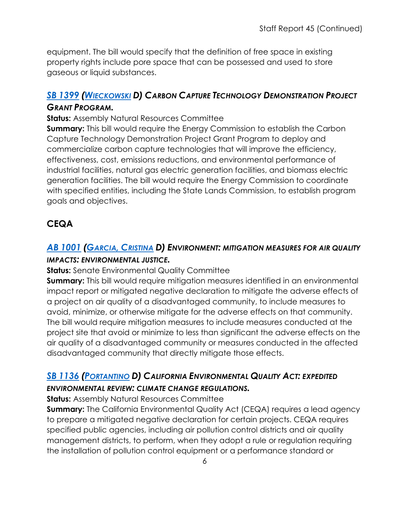equipment. The bill would specify that the definition of free space in existing property rights include pore space that can be possessed and used to store gaseous or liquid substances.

#### *SB [1399](https://ctweb.capitoltrack.com/public/publishbillinfo.aspx?bi=AEk8aSQogHdTB%2BXfWXwnk2I1%2FroKowCjSfW%2FbCb5fNKbmF4hLcBN65vmvvCYXm1H) [\(WIECKOWSKI](http://sd10.senate.ca.gov/) D) CARBON CAPTURE TECHNOLOGY DEMONSTRATION PROJECT GRANT PROGRAM.*

#### **Status:** Assembly Natural Resources Committee

**Summary:** This bill would require the Energy Commission to establish the Carbon Capture Technology Demonstration Project Grant Program to deploy and commercialize carbon capture technologies that will improve the efficiency, effectiveness, cost, emissions reductions, and environmental performance of industrial facilities, natural gas electric generation facilities, and biomass electric generation facilities. The bill would require the Energy Commission to coordinate with specified entities, including the State Lands Commission, to establish program goals and objectives.

# **CEQA**

# *AB [1001](https://ctweb.capitoltrack.com/public/publishbillinfo.aspx?bi=qWi19E4z7Rc6ljcky1qDHR1%2BY5ddJSrd2LVBUYuYHgfE5SCtI%2F67ho3oWp5lj%2B8N) [\(GARCIA,](https://a58.asmdc.org/) CRISTINA D) ENVIRONMENT: MITIGATION MEASURES FOR AIR QUALITY IMPACTS: ENVIRONMENTAL JUSTICE.*

#### **Status:** Senate Environmental Quality Committee

**Summary:** This bill would require mitigation measures identified in an environmental impact report or mitigated negative declaration to mitigate the adverse effects of a project on air quality of a disadvantaged community, to include measures to avoid, minimize, or otherwise mitigate for the adverse effects on that community. The bill would require mitigation measures to include measures conducted at the project site that avoid or minimize to less than significant the adverse effects on the air quality of a disadvantaged community or measures conducted in the affected disadvantaged community that directly mitigate those effects.

#### *SB [1136](https://ctweb.capitoltrack.com/public/publishbillinfo.aspx?bi=xpkX%2B5DfCnz3IEsc0wsp1nv0Or1tvciwZYAEynoFG%2B2Qt515N2Kffzegp9XgWwgo) [\(PORTANTINO](http://sd25.senate.ca.gov/) D) CALIFORNIA ENVIRONMENTAL QUALITY ACT: EXPEDITED ENVIRONMENTAL REVIEW: CLIMATE CHANGE REGULATIONS.*

#### **Status:** Assembly Natural Resources Committee

**Summary:** The California Environmental Quality Act (CEQA) requires a lead agency to prepare a mitigated negative declaration for certain projects. CEQA requires specified public agencies, including air pollution control districts and air quality management districts, to perform, when they adopt a rule or regulation requiring the installation of pollution control equipment or a performance standard or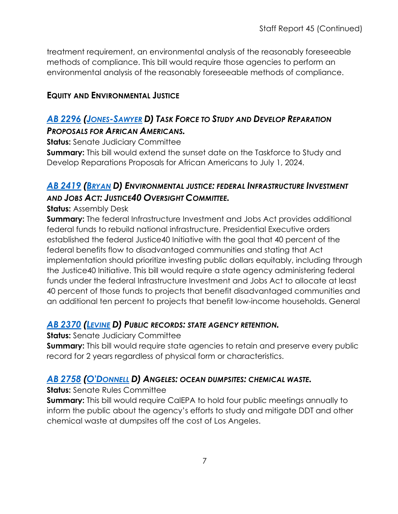treatment requirement, an environmental analysis of the reasonably foreseeable methods of compliance. This bill would require those agencies to perform an environmental analysis of the reasonably foreseeable methods of compliance.

#### **EQUITY AND ENVIRONMENTAL JUSTICE**

# *AB [2296](https://ctweb.capitoltrack.com/public/publishbillinfo.aspx?bi=L%2BrRfB6xNCp8pJKqBPQPAb%2BaDJTNUJNlOQL7DElueUScOHZXW7l02UaXVpLQt%2Blc) [\(JONES-SAWYER](https://a59.asmdc.org/) D) TASK FORCE TO STUDY AND DEVELOP REPARATION PROPOSALS FOR AFRICAN AMERICANS.*

**Status:** Senate Judiciary Committee

**Summary:** This bill would extend the sunset date on the Taskforce to Study and Develop Reparations Proposals for African Americans to July 1, 2024.

# *AB [2419](https://ctweb.capitoltrack.com/public/publishbillinfo.aspx?bi=0g%2FrXlI1nAFLuQXZWhCul2BQX2m3ueobf1eBNpSyJiy4rXw6p%2Bewa%2FEM1TjlAz5p) [\(BRYAN](https://a54.asmdc.org/) D) ENVIRONMENTAL JUSTICE: FEDERAL INFRASTRUCTURE INVESTMENT AND JOBS ACT: JUSTICE40 OVERSIGHT COMMITTEE.*

#### **Status: Assembly Desk**

**Summary:** The federal Infrastructure Investment and Jobs Act provides additional federal funds to rebuild national infrastructure. Presidential Executive orders established the federal Justice40 Initiative with the goal that 40 percent of the federal benefits flow to disadvantaged communities and stating that Act implementation should prioritize investing public dollars equitably, including through the Justice40 Initiative. This bill would require a state agency administering federal funds under the federal Infrastructure Investment and Jobs Act to allocate at least 40 percent of those funds to projects that benefit disadvantaged communities and an additional ten percent to projects that benefit low-income households. General

#### *AB [2370](https://ctweb.capitoltrack.com/public/publishbillinfo.aspx?bi=n00D%2F2BwSGPY59Wjzkl%2F%2FTGMvhr68j1qkiNu5IdNskv76hLR6PMwpMfCFciT1hB6) [\(LEVINE](https://a10.asmdc.org/) D) PUBLIC RECORDS: STATE AGENCY RETENTION.*

**Status:** Senate Judiciary Committee

**Summary:** This bill would require state agencies to retain and preserve every public record for 2 years regardless of physical form or characteristics.

#### *AB [2758](https://ctweb.capitoltrack.com/public/publishbillinfo.aspx?bi=VvEpBx5t3Hu1ss3JsI0x1W%2FXa2hfhzP%2Foia4i7TzhB4jHiYATffza6Bw9r2mX4jW) [\(O'DONNELL](https://a70.asmdc.org/) D) ANGELES: OCEAN DUMPSITES: CHEMICAL WASTE.*

**Status:** Senate Rules Committee

**Summary:** This bill would require CalEPA to hold four public meetings annually to inform the public about the agency's efforts to study and mitigate DDT and other chemical waste at dumpsites off the cost of Los Angeles.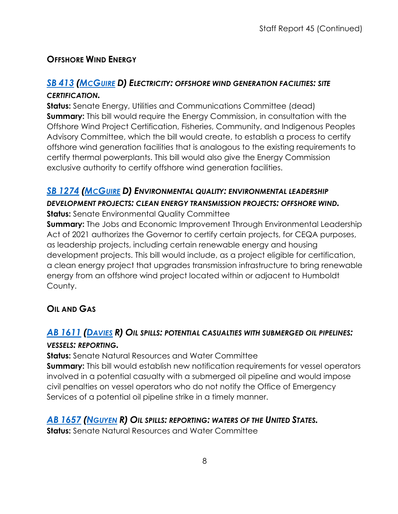#### **OFFSHORE WIND ENERGY**

## *SB [413](https://ctweb.capitoltrack.com/public/publishbillinfo.aspx?bi=H05k%2FJBa1U9kIMM9Sue6Pg2Lt8sQhPVBYOq0YWbaIUZ9ly9FtYFBoKxVwnAo8vZB) [\(MCGUIRE](http://sd02.senate.ca.gov/) D) ELECTRICITY: OFFSHORE WIND GENERATION FACILITIES: SITE*

#### *CERTIFICATION.*

**Status:** Senate Energy, Utilities and Communications Committee (dead) **Summary:** This bill would require the Energy Commission, in consultation with the Offshore Wind Project Certification, Fisheries, Community, and Indigenous Peoples Advisory Committee, which the bill would create, to establish a process to certify offshore wind generation facilities that is analogous to the existing requirements to certify thermal powerplants. This bill would also give the Energy Commission exclusive authority to certify offshore wind generation facilities.

#### *SB [1274](https://ctweb.capitoltrack.com/public/publishbillinfo.aspx?bi=BGtcRofiT0vm5CVHs5ZLxRwOtGffyUBTOyawUnNJQ1cs9TqSyn74NSz2Fx47aQkT) [\(MCGUIRE](http://sd02.senate.ca.gov/) D) ENVIRONMENTAL QUALITY: ENVIRONMENTAL LEADERSHIP*

#### *DEVELOPMENT PROJECTS: CLEAN ENERGY TRANSMISSION PROJECTS: OFFSHORE WIND.*  **Status:** Senate Environmental Quality Committee

**Summary:** The Jobs and Economic Improvement Through Environmental Leadership Act of 2021 authorizes the Governor to certify certain projects, for CEQA purposes, as leadership projects, including certain renewable energy and housing development projects. This bill would include, as a project eligible for certification, a clean energy project that upgrades transmission infrastructure to bring renewable energy from an offshore wind project located within or adjacent to Humboldt County.

#### **OIL AND GAS**

#### *AB [1611](https://ctweb.capitoltrack.com/public/publishbillinfo.aspx?bi=50l1p7R3E4TsJPzjxnrba00gjJlNukvD3ZdqFMwaQkZsAp%2BIFYD%2BQ2qC9fAex2RC) [\(DAVIES](http://ad73.asmrc.org/) R) OIL SPILLS: POTENTIAL CASUALTIES WITH SUBMERGED OIL PIPELINES: VESSELS: REPORTING.*

#### **Status:** Senate Natural Resources and Water Committee

**Summary:** This bill would establish new notification requirements for vessel operators involved in a potential casualty with a submerged oil pipeline and would impose civil penalties on vessel operators who do not notify the Office of Emergency Services of a potential oil pipeline strike in a timely manner.

#### *AB [1657](https://ctweb.capitoltrack.com/public/publishbillinfo.aspx?bi=UFHCX%2FH%2FQv%2B6Kl1fMaEqi4n6tU0oEnkxrkRzDm8iG2PWu6up4GJqSV3ierAOMVmX) [\(NGUYEN](https://ad72.asmrc.org/) R) OIL SPILLS: REPORTING: WATERS OF THE UNITED STATES.*

**Status:** Senate Natural Resources and Water Committee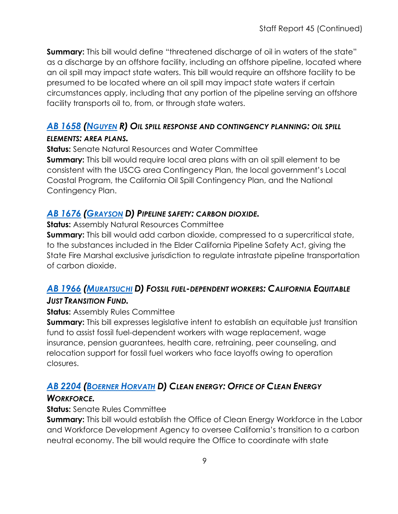**Summary:** This bill would define "threatened discharge of oil in waters of the state" as a discharge by an offshore facility, including an offshore pipeline, located where an oil spill may impact state waters. This bill would require an offshore facility to be presumed to be located where an oil spill may impact state waters if certain circumstances apply, including that any portion of the pipeline serving an offshore facility transports oil to, from, or through state waters.

# *AB [1658](https://ctweb.capitoltrack.com/public/publishbillinfo.aspx?bi=UFHCX%2FH%2FQv%2B6Kl1fMaEqi55ExQIXnljzORRNvt63s0padentl79saTDjv3CbNAfi) [\(NGUYEN](https://ad72.asmrc.org/) R) OIL SPILL RESPONSE AND CONTINGENCY PLANNING: OIL SPILL*

#### *ELEMENTS: AREA PLANS.*

**Status:** Senate Natural Resources and Water Committee **Summary:** This bill would require local area plans with an oil spill element to be consistent with the USCG area Contingency Plan, the local government's Local Coastal Program, the California Oil Spill Contingency Plan, and the National

Contingency Plan.

#### *AB [1676](https://ctweb.capitoltrack.com/public/publishbillinfo.aspx?bi=ADHUDGP6IIMYCggsLJmDWf%2BfiUIxVgwb3gmgHorlFW2QpcmeJfTz%2FZsofs788zk%2B) [\(GRAYSON](https://a14.asmdc.org/) D) PIPELINE SAFETY: CARBON DIOXIDE.*

**Status:** Assembly Natural Resources Committee

**Summary:** This bill would add carbon dioxide, compressed to a supercritical state, to the substances included in the Elder California Pipeline Safety Act, giving the State Fire Marshal exclusive jurisdiction to regulate intrastate pipeline transportation of carbon dioxide.

## *AB [1966](https://ctweb.capitoltrack.com/public/publishbillinfo.aspx?bi=31VtHaitTCYta4vMcnobykpSYi%2BBrQ%2Flfy2YX0PXMoyW83mAVCNB3OWY%2FhlwV2zI) [\(MURATSUCHI](https://a66.asmdc.org/) D) FOSSIL FUEL-DEPENDENT WORKERS: CALIFORNIA EQUITABLE JUST TRANSITION FUND.*

#### **Status: Assembly Rules Committee**

**Summary:** This bill expresses legislative intent to establish an equitable just transition fund to assist fossil fuel-dependent workers with wage replacement, wage insurance, pension guarantees, health care, retraining, peer counseling, and relocation support for fossil fuel workers who face layoffs owing to operation closures.

# *AB [2204](https://ctweb.capitoltrack.com/public/publishbillinfo.aspx?bi=6ruiaG116UChm8yXNvdTx1bJElozb3h7yGmoIDpJL1ynOgcdLBmXujX9D%2FTyf2xo) [\(BOERNER HORVATH](https://a76.asmdc.org/) D) CLEAN ENERGY: OFFICE OF CLEAN ENERGY*

#### *WORKFORCE.*

#### **Status:** Senate Rules Committee

**Summary:** This bill would establish the Office of Clean Energy Workforce in the Labor and Workforce Development Agency to oversee California's transition to a carbon neutral economy. The bill would require the Office to coordinate with state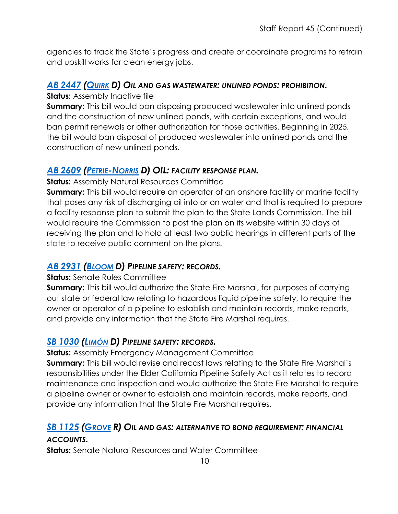agencies to track the State's progress and create or coordinate programs to retrain and upskill works for clean energy jobs.

#### *AB [2447](https://ctweb.capitoltrack.com/public/publishbillinfo.aspx?bi=O7EZ4Ze68VO8VgH3acxY86Whnbra2Z86%2BxmMezkYm%2FMkim2xdLhUNLjKVR61HWJe) [\(QUIRK](https://a20.asmdc.org/) D) OIL AND GAS WASTEWATER: UNLINED PONDS: PROHIBITION.*

**Status:** Assembly Inactive file

**Summary:** This bill would ban disposing produced wastewater into unlined ponds and the construction of new unlined ponds, with certain exceptions, and would ban permit renewals or other authorization for those activities. Beginning in 2025, the bill would ban disposal of produced wastewater into unlined ponds and the construction of new unlined ponds.

#### *AB [2609](https://ctweb.capitoltrack.com/public/publishbillinfo.aspx?bi=jjw5jE%2FxlZ36i3LbFQaFIhkTM0EOsjIiV4e25ZgRqbOwwKnqQlA9FuPCaUV3PcUQ) [\(PETRIE-NORRIS](https://a74.asmdc.org/) D) OIL: FACILITY RESPONSE PLAN.*

**Status:** Assembly Natural Resources Committee

**Summary:** This bill would require an operator of an onshore facility or marine facility that poses any risk of discharging oil into or on water and that is required to prepare a facility response plan to submit the plan to the State Lands Commission. The bill would require the Commission to post the plan on its website within 30 days of receiving the plan and to hold at least two public hearings in different parts of the state to receive public comment on the plans.

#### *AB [2931](https://ctweb.capitoltrack.com/public/publishbillinfo.aspx?bi=mn%2FVhA%2FViqyjNRfH0zfaPYQIKZmGRZCD5FRX2TCVsyBV5Rocqf1p0jPB46hK%2FbIh) [\(BLOOM](https://a50.asmdc.org/) D) PIPELINE SAFETY: RECORDS.*

#### **Status:** Senate Rules Committee

**Summary:** This bill would authorize the State Fire Marshal, for purposes of carrying out state or federal law relating to hazardous liquid pipeline safety, to require the owner or operator of a pipeline to establish and maintain records, make reports, and provide any information that the State Fire Marshal requires.

#### *SB [1030](https://ctweb.capitoltrack.com/public/publishbillinfo.aspx?bi=ub3TU0Q37Cx6ashCV1IkZtFCskVL7sXXpiIPSEHOncxeaOQ7Ul7hRmE6kubuEXiA) [\(LIMÓN](http://sd19.senate.ca.gov/) D) PIPELINE SAFETY: RECORDS.*

**Status:** Assembly Emergency Management Committee

**Summary:** This bill would revise and recast laws relating to the State Fire Marshal's responsibilities under the Elder California Pipeline Safety Act as it relates to record maintenance and inspection and would authorize the State Fire Marshal to require a pipeline owner or owner to establish and maintain records, make reports, and provide any information that the State Fire Marshal requires.

#### *SB [1125](https://ctweb.capitoltrack.com/public/publishbillinfo.aspx?bi=59CcaF9qL%2BvPgMsE7eQSYw8C%2BL11QwLlq8ZboVR%2B25EDFjj2kDcuA7rapCfGp15A) [\(GROVE](https://grove.cssrc.us/) R) OIL AND GAS: ALTERNATIVE TO BOND REQUIREMENT: FINANCIAL*

#### *ACCOUNTS.*

**Status:** Senate Natural Resources and Water Committee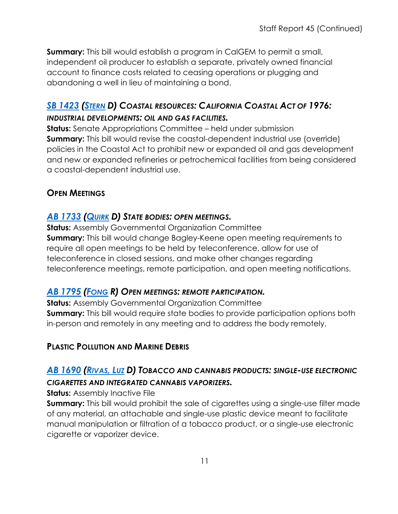**Summary:** This bill would establish a program in CalGEM to permit a small, independent oil producer to establish a separate, privately owned financial account to finance costs related to ceasing operations or plugging and abandoning a well in lieu of maintaining a bond.

## *SB [1423](https://ctweb.capitoltrack.com/public/publishbillinfo.aspx?bi=LkdiwOw3jUhgHnFGMcNHSqYr21%2Bxm9QNOa2pBDpsj6W0fjiyYvMSNDtZeerVKzE7) [\(STERN](http://sd27.senate.ca.gov/) D) COASTAL RESOURCES: CALIFORNIA COASTAL ACT OF 1976: INDUSTRIAL DEVELOPMENTS: OIL AND GAS FACILITIES.*

**Status:** Senate Appropriations Committee – held under submission **Summary:** This bill would revise the coastal-dependent industrial use (override) policies in the Coastal Act to prohibit new or expanded oil and gas development and new or expanded refineries or petrochemical facilities from being considered a coastal-dependent industrial use.

#### **OPEN MEETINGS**

#### *AB [1733](https://ctweb.capitoltrack.com/public/publishbillinfo.aspx?bi=Y1Ho9IXBcQhlsTza6grKsQ7sZwimLa2c12gvqje0kuDV6xARMgDNh6Q%2FFY0z96DD) [\(QUIRK](https://a20.asmdc.org/) D) STATE BODIES: OPEN MEETINGS.*

**Status:** Assembly Governmental Organization Committee **Summary:** This bill would change Bagley-Keene open meeting requirements to require all open meetings to be held by teleconference, allow for use of teleconference in closed sessions, and make other changes regarding teleconference meetings, remote participation, and open meeting notifications.

#### *AB [1795](https://ctweb.capitoltrack.com/public/publishbillinfo.aspx?bi=c%2BK8ZbRyArDgSZHVMyJM2zh%2FZQVnZlCiI9oU2jU8oVA2p4CWBt8CYlsz7sYK5o4w) [\(FONG](https://ad34.asmrc.org/) R) OPEN MEETINGS: REMOTE PARTICIPATION.*

**Status:** Assembly Governmental Organization Committee **Summary:** This bill would require state bodies to provide participation options both in-person and remotely in any meeting and to address the body remotely.

#### **PLASTIC POLLUTION AND MARINE DEBRIS**

# *AB [1690](https://ctweb.capitoltrack.com/public/publishbillinfo.aspx?bi=rF8vjv%2BIY13lZqvZQpPdRlvdDBbkHF4cE0VDV%2FEEmOpCheSdcucCfzt961K3y%2Fi2) [\(RIVAS,](https://a39.asmdc.org/) LUZ D) TOBACCO AND CANNABIS PRODUCTS: SINGLE-USE ELECTRONIC CIGARETTES AND INTEGRATED CANNABIS VAPORIZERS.*

**Status:** Assembly Inactive File

**Summary:** This bill would prohibit the sale of cigarettes using a single-use filter made of any material, an attachable and single-use plastic device meant to facilitate manual manipulation or filtration of a tobacco product, or a single-use electronic cigarette or vaporizer device.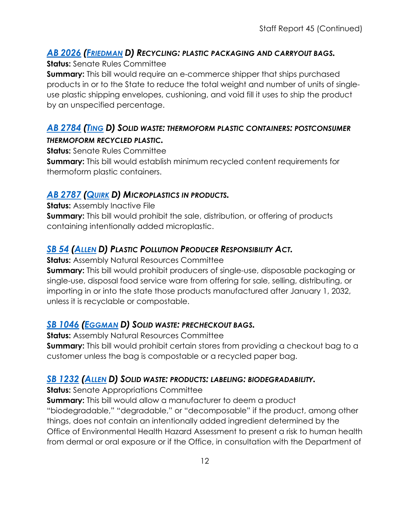#### *AB [2026](https://ctweb.capitoltrack.com/public/publishbillinfo.aspx?bi=QMNkTuGmKTtEpyvJ%2B9DVyf7oI98G6LFojVTCiSJGGiLZhWQ08ZN9BFFuY95vA190) [\(FRIEDMAN](https://a43.asmdc.org/) D) RECYCLING: PLASTIC PACKAGING AND CARRYOUT BAGS.*

#### **Status:** Senate Rules Committee

**Summary:** This bill would require an e-commerce shipper that ships purchased products in or to the State to reduce the total weight and number of units of singleuse plastic shipping envelopes, cushioning, and void fill it uses to ship the product by an unspecified percentage.

#### *AB [2784](https://ctweb.capitoltrack.com/public/publishbillinfo.aspx?bi=j%2FixXw%2FnVEoyiUanu4BpZtWnBoqWwH%2FJ8NrbvYwdimpFw9RVoqjK59GlVbaE7bGm) [\(TING](https://a19.asmdc.org/) D) SOLID WASTE: THERMOFORM PLASTIC CONTAINERS: POSTCONSUMER THERMOFORM RECYCLED PLASTIC.*

**Status:** Senate Rules Committee

**Summary:** This bill would establish minimum recycled content requirements for thermoform plastic containers.

#### *AB [2787](https://ctweb.capitoltrack.com/public/publishbillinfo.aspx?bi=j%2FixXw%2FnVEoyiUanu4BpZg4fjPOIT78xjcpgeWb54h2PQB3Y5Xu51OFo%2FOTDlPBy) [\(QUIRK](https://a20.asmdc.org/) D) MICROPLASTICS IN PRODUCTS.*

**Status:** Assembly Inactive File **Summary:** This bill would prohibit the sale, distribution, or offering of products containing intentionally added microplastic.

# *SB [54](https://ctweb.capitoltrack.com/public/publishbillinfo.aspx?bi=%2FmI%2B8PSAvhHqloxnv5LdpyQop1iS2pvEcknJ09BtnDtOd7LnVqfLNZ4UtiWHECM9) [\(ALLEN](http://sd26.senate.ca.gov/) D) PLASTIC POLLUTION PRODUCER RESPONSIBILITY ACT.*

**Status:** Assembly Natural Resources Committee

**Summary:** This bill would prohibit producers of single-use, disposable packaging or single-use, disposal food service ware from offering for sale, selling, distributing, or importing in or into the state those products manufactured after January 1, 2032, unless it is recyclable or compostable.

#### *SB [1046](https://ctweb.capitoltrack.com/public/publishbillinfo.aspx?bi=e%2ByVS7C%2BbiEsIQq2oimExSUQSnXnOxbE%2BEqsxHQH15FPk7Brwr0E6AForPyu3quq) [\(EGGMAN](http://sd05.senate.ca.gov/) D) SOLID WASTE: PRECHECKOUT BAGS.*

**Status:** Assembly Natural Resources Committee

**Summary:** This bill would prohibit certain stores from providing a checkout bag to a customer unless the bag is compostable or a recycled paper bag.

#### *SB [1232](https://ctweb.capitoltrack.com/public/publishbillinfo.aspx?bi=oc1OpKF4J%2B0QeLQ9Bl103EncvRe5W2XituZgHT7j2UApqTupmQAsjyAFy1d2XDiO) [\(ALLEN](http://sd26.senate.ca.gov/) D) SOLID WASTE: PRODUCTS: LABELING: BIODEGRADABILITY.*

**Status:** Senate Appropriations Committee

**Summary:** This bill would allow a manufacturer to deem a product "biodegradable," "degradable," or "decomposable" if the product, among other things, does not contain an intentionally added ingredient determined by the Office of Environmental Health Hazard Assessment to present a risk to human health from dermal or oral exposure or if the Office, in consultation with the Department of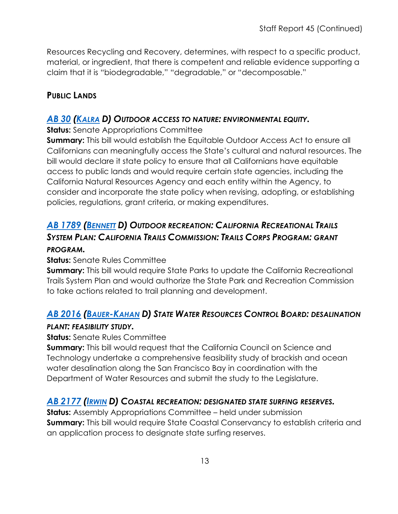Resources Recycling and Recovery, determines, with respect to a specific product, material, or ingredient, that there is competent and reliable evidence supporting a claim that it is "biodegradable," "degradable," or "decomposable."

### **PUBLIC LANDS**

#### *[AB](https://ctweb.capitoltrack.com/public/publishbillinfo.aspx?bi=hvKwiHQJL1wvvh3M0TwGO8OUKGhOg2iOObX3JbWNcEqDDzOWIzO3T6%2BnF47RwAuc) 30 [\(KALRA](https://a27.asmdc.org/) D) OUTDOOR ACCESS TO NATURE: ENVIRONMENTAL EQUITY.*

**Status:** Senate Appropriations Committee

**Summary:** This bill would establish the Equitable Outdoor Access Act to ensure all Californians can meaningfully access the State's cultural and natural resources. The bill would declare it state policy to ensure that all Californians have equitable access to public lands and would require certain state agencies, including the California Natural Resources Agency and each entity within the Agency, to consider and incorporate the state policy when revising, adopting, or establishing policies, regulations, grant criteria, or making expenditures.

# *AB [1789](https://ctweb.capitoltrack.com/public/publishbillinfo.aspx?bi=DLd6AvjYZwK1SUejVmulLOtxbyd9iG82sfIO23bLzRTYlMLCnULlVFGQwhNpasXM) [\(BENNETT](https://a37.asmdc.org/) D) OUTDOOR RECREATION: CALIFORNIA RECREATIONAL TRAILS SYSTEM PLAN: CALIFORNIA TRAILS COMMISSION: TRAILS CORPS PROGRAM: GRANT PROGRAM.*

#### **Status:** Senate Rules Committee

**Summary:** This bill would require State Parks to update the California Recreational Trails System Plan and would authorize the State Park and Recreation Commission to take actions related to trail planning and development.

# *AB [2016](https://ctweb.capitoltrack.com/public/publishbillinfo.aspx?bi=VtyjRzEFp%2FJqOyqNCln0RLtd%2BHOakO5oqxFP9TNL2HY0FmsUJxDaOwHOXzbWXbtR) [\(BAUER-KAHAN](https://a16.asmdc.org/) D) STATE WATER RESOURCES CONTROL BOARD: DESALINATION*

#### *PLANT: FEASIBILITY STUDY.*

**Status:** Senate Rules Committee

**Summary:** This bill would request that the California Council on Science and Technology undertake a comprehensive feasibility study of brackish and ocean water desalination along the San Francisco Bay in coordination with the Department of Water Resources and submit the study to the Legislature.

#### *AB [2177](https://ctweb.capitoltrack.com/public/publishbillinfo.aspx?bi=Uua7XPQwLgYL6LCxZ3rDzTwTeOWjNDEaGQ3JByyNGSzk%2Fyj7IM21%2Fo0JYAnWWY3v) [\(IRWIN](https://a44.asmdc.org/) D) COASTAL RECREATION: DESIGNATED STATE SURFING RESERVES.*

**Status:** Assembly Appropriations Committee – held under submission **Summary:** This bill would require State Coastal Conservancy to establish criteria and an application process to designate state surfing reserves.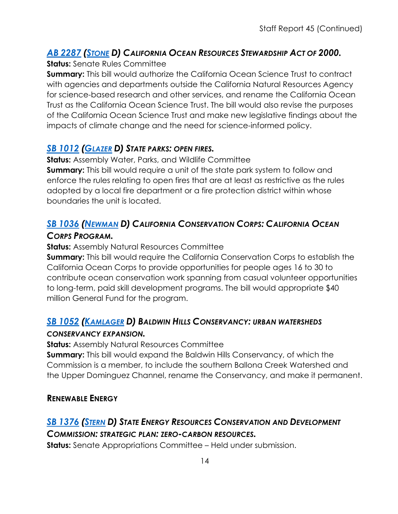# *AB [2287](https://ctweb.capitoltrack.com/public/publishbillinfo.aspx?bi=tOAKk70axqNl9AQyQ0bTut%2BYHo6p5nRl7tD8FMM6WjfTuq5KZx7wQ4r1Dfj41wi1) [\(STONE](https://a29.asmdc.org/) D) CALIFORNIA OCEAN RESOURCES STEWARDSHIP ACT OF 2000.*

#### **Status:** Senate Rules Committee

**Summary:** This bill would authorize the California Ocean Science Trust to contract with agencies and departments outside the California Natural Resources Agency for science-based research and other services, and rename the California Ocean Trust as the California Ocean Science Trust. The bill would also revise the purposes of the California Ocean Science Trust and make new legislative findings about the impacts of climate change and the need for science-informed policy.

#### *SB [1012](https://ctweb.capitoltrack.com/public/publishbillinfo.aspx?bi=%2F96Ijv9zfgIjlL34Me80IK28GvPLgRo1GuUeN41SAdykc850KBw50y3QtNozlfI5) [\(GLAZER](http://sd07.senate.ca.gov/) D) STATE PARKS: OPEN FIRES.*

**Status:** Assembly Water, Parks, and Wildlife Committee

**Summary:** This bill would require a unit of the state park system to follow and enforce the rules relating to open fires that are at least as restrictive as the rules adopted by a local fire department or a fire protection district within whose boundaries the unit is located.

### *SB [1036](https://ctweb.capitoltrack.com/public/publishbillinfo.aspx?bi=ub3TU0Q37Cx6ashCV1IkZv9csNjot48DttUcT03Z6Dis6gBIyB9X%2FbqnsODwAk0B) [\(NEWMAN](https://sd29.senate.ca.gov/) D) CALIFORNIA CONSERVATION CORPS: CALIFORNIA OCEAN CORPS PROGRAM.*

**Status:** Assembly Natural Resources Committee

**Summary:** This bill would require the California Conservation Corps to establish the California Ocean Corps to provide opportunities for people ages 16 to 30 to contribute ocean conservation work spanning from casual volunteer opportunities to long-term, paid skill development programs. The bill would appropriate \$40 million General Fund for the program.

# *SB [1052](https://ctweb.capitoltrack.com/public/publishbillinfo.aspx?bi=SsT4YysUR%2Fq3Y79FSEF482x0jv7sfujnLFUY0rXUDlJrxLqvWaejmXTC7kXyrT0s) [\(KAMLAGER](https://sd30.senate.ca.gov/) D) BALDWIN HILLS CONSERVANCY: URBAN WATERSHEDS*

#### *CONSERVANCY EXPANSION.*

**Status:** Assembly Natural Resources Committee

**Summary:** This bill would expand the Baldwin Hills Conservancy, of which the Commission is a member, to include the southern Ballona Creek Watershed and the Upper Dominguez Channel, rename the Conservancy, and make it permanent.

#### **RENEWABLE ENERGY**

# *SB [1376](https://ctweb.capitoltrack.com/public/publishbillinfo.aspx?bi=sTaioSBmOPXtiBLdSaGakiQs2HyoO8FSjVyUmltvPKvZAAz2zIip1S%2Bd8IaFb2vu) [\(STERN](http://sd27.senate.ca.gov/) D) STATE ENERGY RESOURCES CONSERVATION AND DEVELOPMENT COMMISSION: STRATEGIC PLAN: ZERO-CARBON RESOURCES.*

**Status:** Senate Appropriations Committee – Held under submission.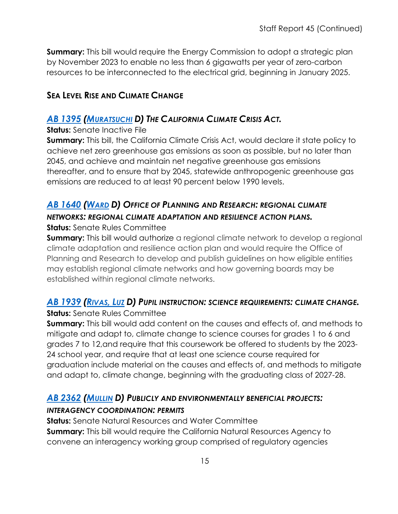**Summary:** This bill would require the Energy Commission to adopt a strategic plan by November 2023 to enable no less than 6 gigawatts per year of zero-carbon resources to be interconnected to the electrical grid, beginning in January 2025.

#### **SEA LEVEL RISE AND CLIMATE CHANGE**

#### *AB [1395](https://ctweb.capitoltrack.com/public/publishbillinfo.aspx?bi=MkvH%2BboJJyf8ZwyFZAjS7TXBdkF59MeWpDBaQLmza5tg0INctBAvHEicqJPZ%2BqEp) [\(MURATSUCHI](https://a66.asmdc.org/) D) THE CALIFORNIA CLIMATE CRISIS ACT.*

#### **Status:** Senate Inactive File

**Summary:** This bill, the California Climate Crisis Act, would declare it state policy to achieve net zero greenhouse gas emissions as soon as possible, but no later than 2045, and achieve and maintain net negative greenhouse gas emissions thereafter, and to ensure that by 2045, statewide anthropogenic greenhouse gas emissions are reduced to at least 90 percent below 1990 levels.

# *AB [1640](https://ctweb.capitoltrack.com/public/publishbillinfo.aspx?bi=juCsgEygafLQVQQCuAIlF930j2iciSOHdxKXhPGJglyu4sE5TyJWtRT1HHhbBleW) [\(WARD](https://a78.asmdc.org/) D) OFFICE OF PLANNING AND RESEARCH: REGIONAL CLIMATE NETWORKS: REGIONAL CLIMATE ADAPTATION AND RESILIENCE ACTION PLANS.*

#### **Status:** Senate Rules Committee

**Summary:** This bill would authorize a regional climate network to develop a regional climate adaptation and resilience action plan and would require the Office of Planning and Research to develop and publish guidelines on how eligible entities may establish regional climate networks and how governing boards may be established within regional climate networks.

# *AB [1939](https://ctweb.capitoltrack.com/public/publishbillinfo.aspx?bi=3%2BScBDEvi0UbAF%2FVAMiYNdes3F7UU8s5lkzaQtWVCqhLIDGyxYvV69k5ZSL%2FBcjC) [\(RIVAS,](https://a39.asmdc.org/) LUZ D) PUPIL INSTRUCTION: SCIENCE REQUIREMENTS: CLIMATE CHANGE.*

#### **Status:** Senate Rules Committee

**Summary:** This bill would add content on the causes and effects of, and methods to mitigate and adapt to, climate change to science courses for grades 1 to 6 and grades 7 to 12,and require that this coursework be offered to students by the 2023- 24 school year, and require that at least one science course required for graduation include material on the causes and effects of, and methods to mitigate and adapt to, climate change, beginning with the graduating class of 2027-28.

# *AB [2362](https://ctweb.capitoltrack.com/public/publishbillinfo.aspx?bi=fX%2BMZU6ZOocwSiJVgLXQFgoxFttNqH8sW0GCO1ww%2FPvsD9AimBAh3eJXFF7LNRls) [\(MULLIN](https://a22.asmdc.org/) D) PUBLICLY AND ENVIRONMENTALLY BENEFICIAL PROJECTS:*

#### *INTERAGENCY COORDINATION: PERMITS*

**Status:** Senate Natural Resources and Water Committee **Summary:** This bill would require the California Natural Resources Agency to convene an interagency working group comprised of regulatory agencies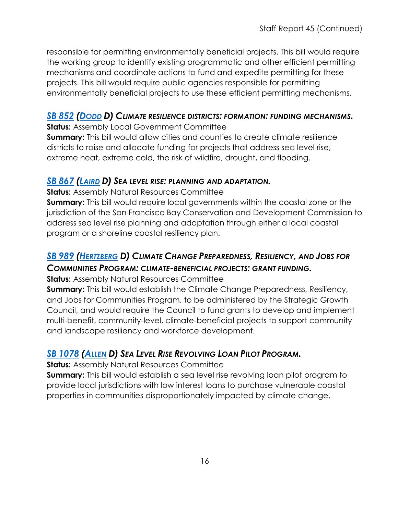responsible for permitting environmentally beneficial projects. This bill would require the working group to identify existing programmatic and other efficient permitting mechanisms and coordinate actions to fund and expedite permitting for these projects. This bill would require public agencies responsible for permitting environmentally beneficial projects to use these efficient permitting mechanisms.

#### *SB [852](https://ctweb.capitoltrack.com/public/publishbillinfo.aspx?bi=M1pzJmUJMsf5nbQKEPR6SeuGaHQZaiYl2mQhJD7jcnahfIRxFL0V62NVTdlMcLyB) [\(DODD](http://sd03.senate.ca.gov/) D) CLIMATE RESILIENCE DISTRICTS: FORMATION: FUNDING MECHANISMS.*

**Status:** Assembly Local Government Committee

**Summary:** This bill would allow cities and counties to create climate resilience districts to raise and allocate funding for projects that address sea level rise, extreme heat, extreme cold, the risk of wildfire, drought, and flooding.

#### *SB [867](https://ctweb.capitoltrack.com/public/publishbillinfo.aspx?bi=jd4Sjq3DeFqrnETK9J%2FTpoMr4xATHaHBDFmWLcfnLta7I%2B%2FFcln6C3mirOyVKAy7) [\(LAIRD](http://sd17.senate.ca.gov/) D) SEA LEVEL RISE: PLANNING AND ADAPTATION.*

**Status:** Assembly Natural Resources Committee

**Summary:** This bill would require local governments within the coastal zone or the jurisdiction of the San Francisco Bay Conservation and Development Commission to address sea level rise planning and adaptation through either a local coastal program or a shoreline coastal resiliency plan.

# *SB [989](https://ctweb.capitoltrack.com/public/publishbillinfo.aspx?bi=G3cKEEW2igOqbDBfQhjsl1NIHGezTkpIPUIq%2BSkUfSTEqJI88YWFxRxNzoluo%2FNS) [\(HERTZBERG](https://sd18.senate.ca.gov/) D) CLIMATE CHANGE PREPAREDNESS, RESILIENCY, AND JOBS FOR COMMUNITIES PROGRAM: CLIMATE-BENEFICIAL PROJECTS: GRANT FUNDING.*

**Status:** Assembly Natural Resources Committee

**Summary:** This bill would establish the Climate Change Preparedness, Resiliency, and Jobs for Communities Program, to be administered by the Strategic Growth Council, and would require the Council to fund grants to develop and implement multi-benefit, community-level, climate-beneficial projects to support community and landscape resiliency and workforce development.

# *SB [1078](https://ctweb.capitoltrack.com/public/publishbillinfo.aspx?bi=MT1cd9zDH%2BcNd%2B3eumSBzb4J9QEY4EiCH8cy9k5hXn28gyiRmDugt9FENtqZGiAP) [\(ALLEN](http://sd26.senate.ca.gov/) D) SEA LEVEL RISE REVOLVING LOAN PILOT PROGRAM.*

**Status:** Assembly Natural Resources Committee

**Summary:** This bill would establish a sea level rise revolving loan pilot program to provide local jurisdictions with low interest loans to purchase vulnerable coastal properties in communities disproportionately impacted by climate change.